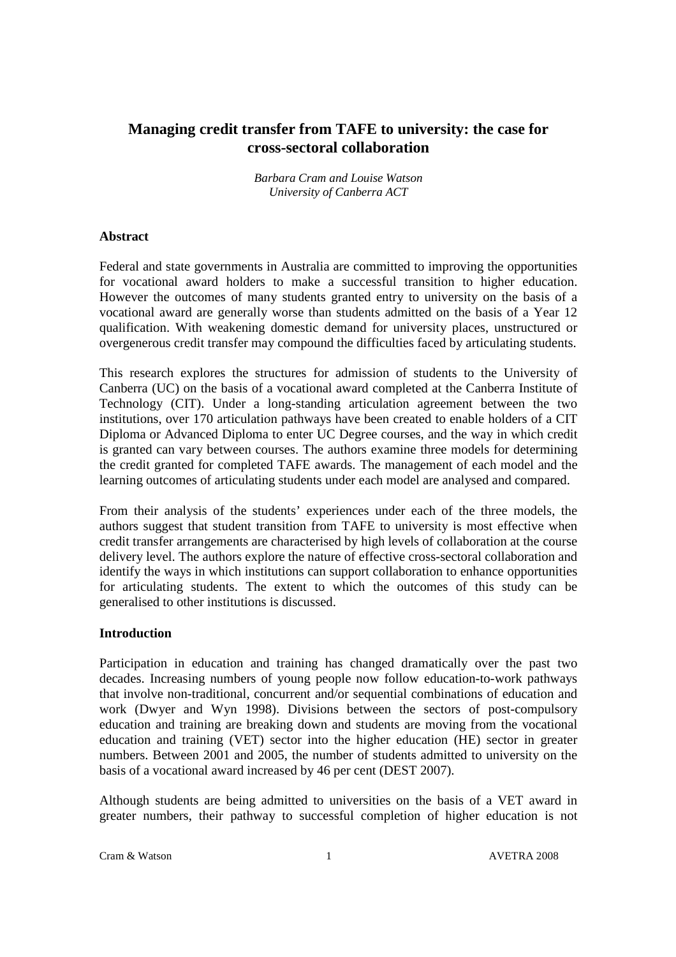# **Managing credit transfer from TAFE to university: the case for cross-sectoral collaboration**

*Barbara Cram and Louise Watson University of Canberra ACT* 

# **Abstract**

Federal and state governments in Australia are committed to improving the opportunities for vocational award holders to make a successful transition to higher education. However the outcomes of many students granted entry to university on the basis of a vocational award are generally worse than students admitted on the basis of a Year 12 qualification. With weakening domestic demand for university places, unstructured or overgenerous credit transfer may compound the difficulties faced by articulating students.

This research explores the structures for admission of students to the University of Canberra (UC) on the basis of a vocational award completed at the Canberra Institute of Technology (CIT). Under a long-standing articulation agreement between the two institutions, over 170 articulation pathways have been created to enable holders of a CIT Diploma or Advanced Diploma to enter UC Degree courses, and the way in which credit is granted can vary between courses. The authors examine three models for determining the credit granted for completed TAFE awards. The management of each model and the learning outcomes of articulating students under each model are analysed and compared.

From their analysis of the students' experiences under each of the three models, the authors suggest that student transition from TAFE to university is most effective when credit transfer arrangements are characterised by high levels of collaboration at the course delivery level. The authors explore the nature of effective cross-sectoral collaboration and identify the ways in which institutions can support collaboration to enhance opportunities for articulating students. The extent to which the outcomes of this study can be generalised to other institutions is discussed.

### **Introduction**

Participation in education and training has changed dramatically over the past two decades. Increasing numbers of young people now follow education-to-work pathways that involve non-traditional, concurrent and/or sequential combinations of education and work (Dwyer and Wyn 1998). Divisions between the sectors of post-compulsory education and training are breaking down and students are moving from the vocational education and training (VET) sector into the higher education (HE) sector in greater numbers. Between 2001 and 2005, the number of students admitted to university on the basis of a vocational award increased by 46 per cent (DEST 2007).

Although students are being admitted to universities on the basis of a VET award in greater numbers, their pathway to successful completion of higher education is not

Cram & Watson 1 AVETRA 2008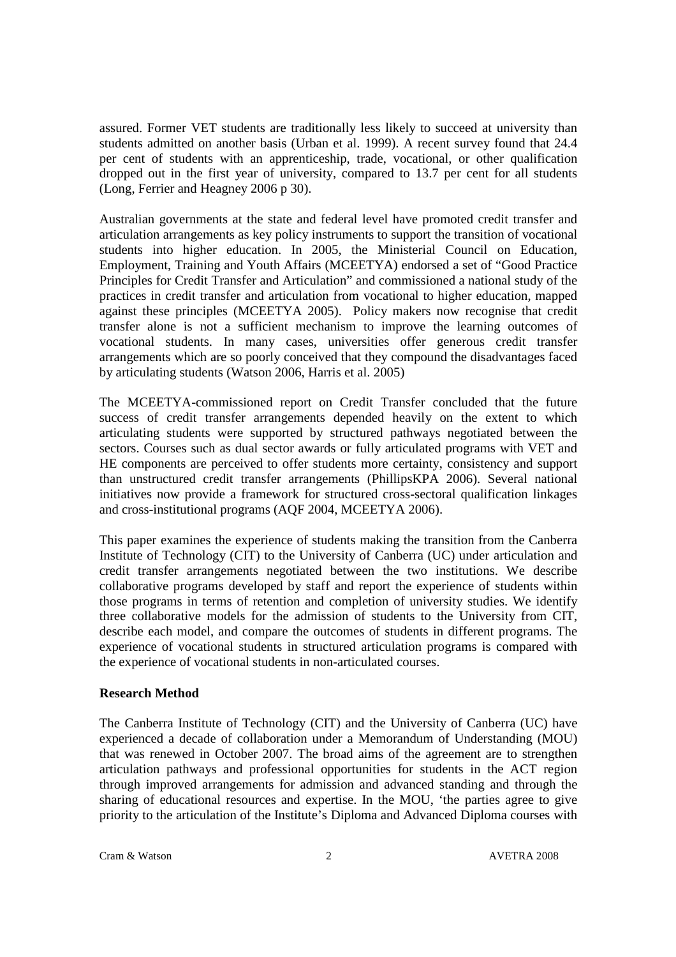assured. Former VET students are traditionally less likely to succeed at university than students admitted on another basis (Urban et al. 1999). A recent survey found that 24.4 per cent of students with an apprenticeship, trade, vocational, or other qualification dropped out in the first year of university, compared to 13.7 per cent for all students (Long, Ferrier and Heagney 2006 p 30).

Australian governments at the state and federal level have promoted credit transfer and articulation arrangements as key policy instruments to support the transition of vocational students into higher education. In 2005, the Ministerial Council on Education, Employment, Training and Youth Affairs (MCEETYA) endorsed a set of "Good Practice Principles for Credit Transfer and Articulation" and commissioned a national study of the practices in credit transfer and articulation from vocational to higher education, mapped against these principles (MCEETYA 2005). Policy makers now recognise that credit transfer alone is not a sufficient mechanism to improve the learning outcomes of vocational students. In many cases, universities offer generous credit transfer arrangements which are so poorly conceived that they compound the disadvantages faced by articulating students (Watson 2006, Harris et al. 2005)

The MCEETYA-commissioned report on Credit Transfer concluded that the future success of credit transfer arrangements depended heavily on the extent to which articulating students were supported by structured pathways negotiated between the sectors. Courses such as dual sector awards or fully articulated programs with VET and HE components are perceived to offer students more certainty, consistency and support than unstructured credit transfer arrangements (PhillipsKPA 2006). Several national initiatives now provide a framework for structured cross-sectoral qualification linkages and cross-institutional programs (AQF 2004, MCEETYA 2006).

This paper examines the experience of students making the transition from the Canberra Institute of Technology (CIT) to the University of Canberra (UC) under articulation and credit transfer arrangements negotiated between the two institutions. We describe collaborative programs developed by staff and report the experience of students within those programs in terms of retention and completion of university studies. We identify three collaborative models for the admission of students to the University from CIT, describe each model, and compare the outcomes of students in different programs. The experience of vocational students in structured articulation programs is compared with the experience of vocational students in non-articulated courses.

### **Research Method**

The Canberra Institute of Technology (CIT) and the University of Canberra (UC) have experienced a decade of collaboration under a Memorandum of Understanding (MOU) that was renewed in October 2007. The broad aims of the agreement are to strengthen articulation pathways and professional opportunities for students in the ACT region through improved arrangements for admission and advanced standing and through the sharing of educational resources and expertise. In the MOU, 'the parties agree to give priority to the articulation of the Institute's Diploma and Advanced Diploma courses with

Cram & Watson 2 2 2 2 AVETRA 2008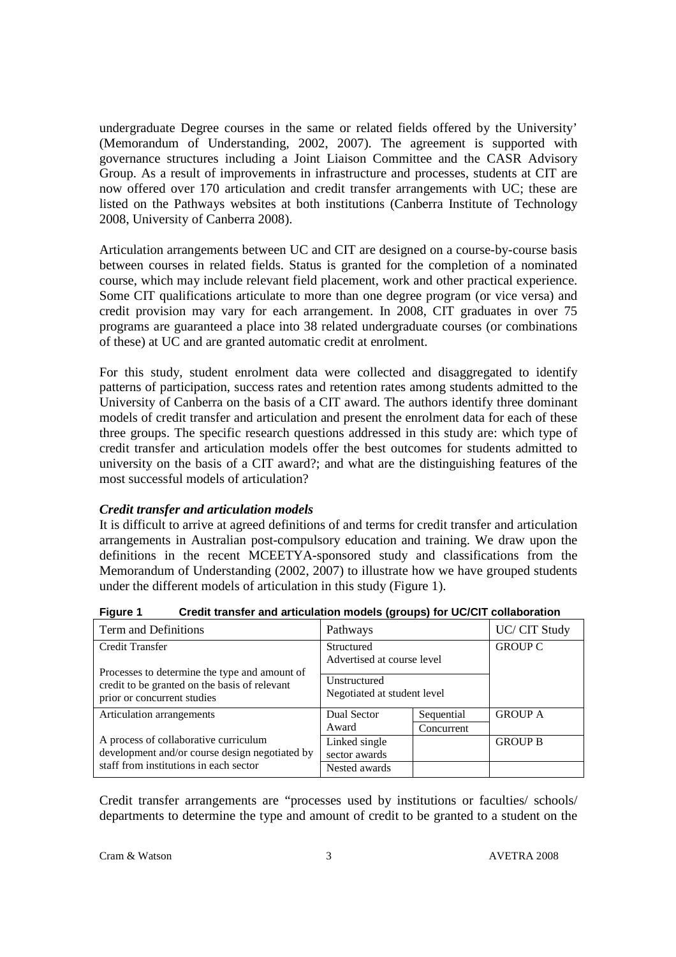undergraduate Degree courses in the same or related fields offered by the University' (Memorandum of Understanding, 2002, 2007). The agreement is supported with governance structures including a Joint Liaison Committee and the CASR Advisory Group. As a result of improvements in infrastructure and processes, students at CIT are now offered over 170 articulation and credit transfer arrangements with UC; these are listed on the Pathways websites at both institutions (Canberra Institute of Technology 2008, University of Canberra 2008).

Articulation arrangements between UC and CIT are designed on a course-by-course basis between courses in related fields. Status is granted for the completion of a nominated course, which may include relevant field placement, work and other practical experience. Some CIT qualifications articulate to more than one degree program (or vice versa) and credit provision may vary for each arrangement. In 2008, CIT graduates in over 75 programs are guaranteed a place into 38 related undergraduate courses (or combinations of these) at UC and are granted automatic credit at enrolment.

For this study, student enrolment data were collected and disaggregated to identify patterns of participation, success rates and retention rates among students admitted to the University of Canberra on the basis of a CIT award. The authors identify three dominant models of credit transfer and articulation and present the enrolment data for each of these three groups. The specific research questions addressed in this study are: which type of credit transfer and articulation models offer the best outcomes for students admitted to university on the basis of a CIT award?; and what are the distinguishing features of the most successful models of articulation?

# *Credit transfer and articulation models*

It is difficult to arrive at agreed definitions of and terms for credit transfer and articulation arrangements in Australian post-compulsory education and training. We draw upon the definitions in the recent MCEETYA-sponsored study and classifications from the Memorandum of Understanding (2002, 2007) to illustrate how we have grouped students under the different models of articulation in this study (Figure 1).

| Term and Definitions                                                                                                          | Pathways                                    |            | UC/ CIT Study  |
|-------------------------------------------------------------------------------------------------------------------------------|---------------------------------------------|------------|----------------|
| <b>Credit Transfer</b>                                                                                                        | Structured<br>Advertised at course level    |            | <b>GROUP C</b> |
| Processes to determine the type and amount of<br>credit to be granted on the basis of relevant<br>prior or concurrent studies | Unstructured<br>Negotiated at student level |            |                |
| Articulation arrangements                                                                                                     | Dual Sector                                 | Sequential | <b>GROUP A</b> |
|                                                                                                                               | Award                                       | Concurrent |                |
| A process of collaborative curriculum<br>development and/or course design negotiated by                                       | Linked single<br>sector awards              |            | <b>GROUP B</b> |
| staff from institutions in each sector                                                                                        | Nested awards                               |            |                |

**Figure 1 Credit transfer and articulation models (groups) for UC/CIT collaboration** 

Credit transfer arrangements are "processes used by institutions or faculties/ schools/ departments to determine the type and amount of credit to be granted to a student on the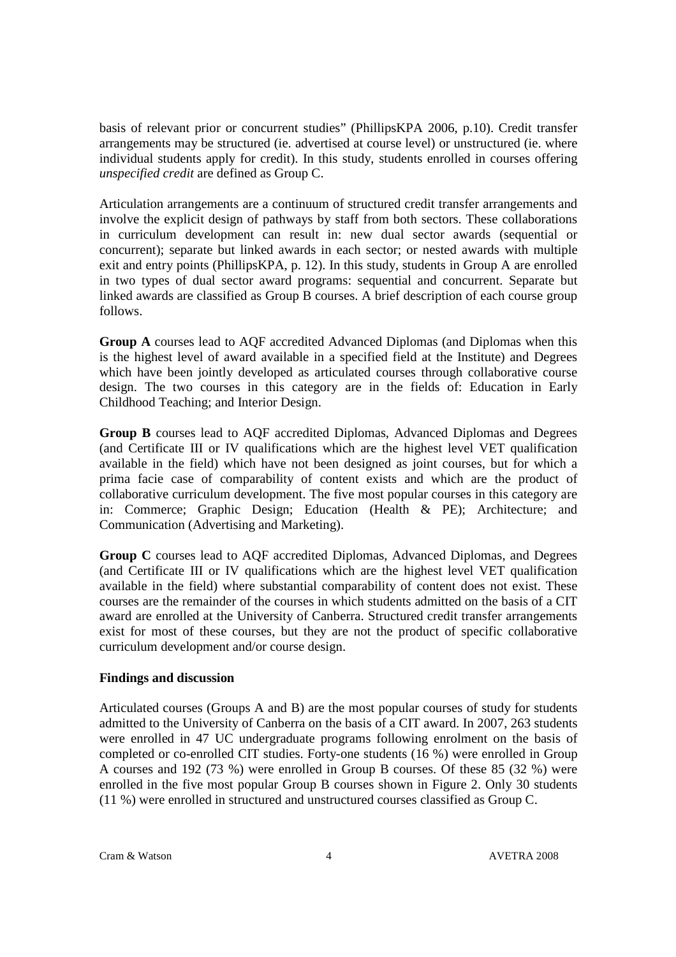basis of relevant prior or concurrent studies" (PhillipsKPA 2006, p.10). Credit transfer arrangements may be structured (ie. advertised at course level) or unstructured (ie. where individual students apply for credit). In this study, students enrolled in courses offering *unspecified credit* are defined as Group C.

Articulation arrangements are a continuum of structured credit transfer arrangements and involve the explicit design of pathways by staff from both sectors. These collaborations in curriculum development can result in: new dual sector awards (sequential or concurrent); separate but linked awards in each sector; or nested awards with multiple exit and entry points (PhillipsKPA, p. 12). In this study, students in Group A are enrolled in two types of dual sector award programs: sequential and concurrent. Separate but linked awards are classified as Group B courses. A brief description of each course group follows.

**Group A** courses lead to AQF accredited Advanced Diplomas (and Diplomas when this is the highest level of award available in a specified field at the Institute) and Degrees which have been jointly developed as articulated courses through collaborative course design. The two courses in this category are in the fields of: Education in Early Childhood Teaching; and Interior Design.

**Group B** courses lead to AQF accredited Diplomas, Advanced Diplomas and Degrees (and Certificate III or IV qualifications which are the highest level VET qualification available in the field) which have not been designed as joint courses, but for which a prima facie case of comparability of content exists and which are the product of collaborative curriculum development. The five most popular courses in this category are in: Commerce; Graphic Design; Education (Health & PE); Architecture; and Communication (Advertising and Marketing).

**Group C** courses lead to AQF accredited Diplomas, Advanced Diplomas, and Degrees (and Certificate III or IV qualifications which are the highest level VET qualification available in the field) where substantial comparability of content does not exist. These courses are the remainder of the courses in which students admitted on the basis of a CIT award are enrolled at the University of Canberra. Structured credit transfer arrangements exist for most of these courses, but they are not the product of specific collaborative curriculum development and/or course design.

# **Findings and discussion**

Articulated courses (Groups A and B) are the most popular courses of study for students admitted to the University of Canberra on the basis of a CIT award. In 2007, 263 students were enrolled in 47 UC undergraduate programs following enrolment on the basis of completed or co-enrolled CIT studies. Forty-one students (16 %) were enrolled in Group A courses and 192 (73 %) were enrolled in Group B courses. Of these 85 (32 %) were enrolled in the five most popular Group B courses shown in Figure 2. Only 30 students (11 %) were enrolled in structured and unstructured courses classified as Group C.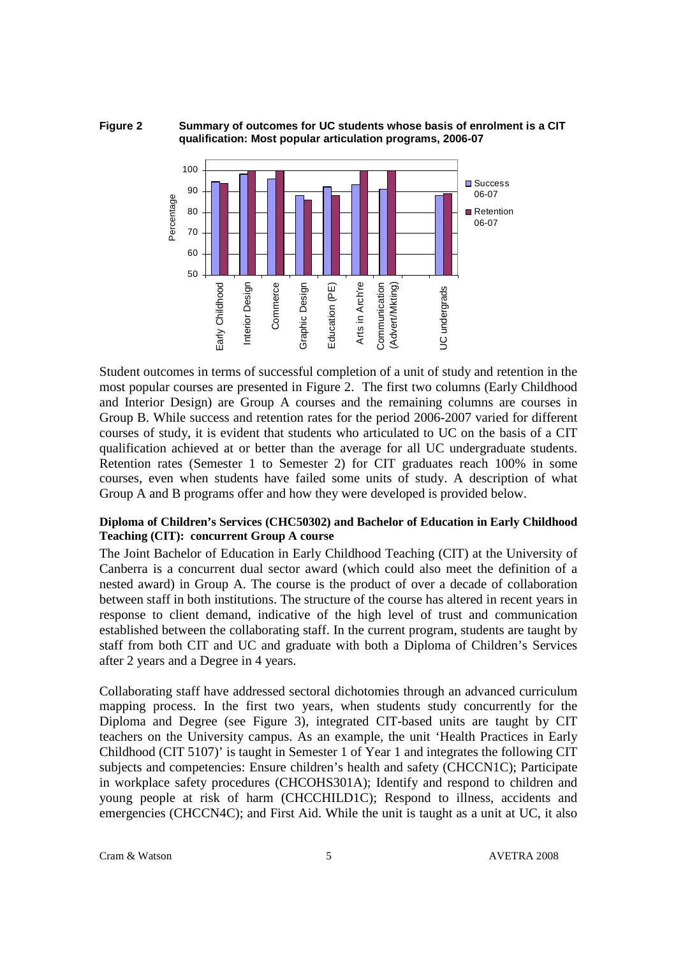**Figure 2 Summary of outcomes for UC students whose basis of enrolment is a CIT qualification: Most popular articulation programs, 2006-07** 



Student outcomes in terms of successful completion of a unit of study and retention in the most popular courses are presented in Figure 2. The first two columns (Early Childhood and Interior Design) are Group A courses and the remaining columns are courses in Group B. While success and retention rates for the period 2006-2007 varied for different courses of study, it is evident that students who articulated to UC on the basis of a CIT qualification achieved at or better than the average for all UC undergraduate students. Retention rates (Semester 1 to Semester 2) for CIT graduates reach 100% in some courses, even when students have failed some units of study. A description of what Group A and B programs offer and how they were developed is provided below.

# **Diploma of Children's Services (CHC50302) and Bachelor of Education in Early Childhood Teaching (CIT): concurrent Group A course**

The Joint Bachelor of Education in Early Childhood Teaching (CIT) at the University of Canberra is a concurrent dual sector award (which could also meet the definition of a nested award) in Group A. The course is the product of over a decade of collaboration between staff in both institutions. The structure of the course has altered in recent years in response to client demand, indicative of the high level of trust and communication established between the collaborating staff. In the current program, students are taught by staff from both CIT and UC and graduate with both a Diploma of Children's Services after 2 years and a Degree in 4 years.

Collaborating staff have addressed sectoral dichotomies through an advanced curriculum mapping process. In the first two years, when students study concurrently for the Diploma and Degree (see Figure 3), integrated CIT-based units are taught by CIT teachers on the University campus. As an example, the unit 'Health Practices in Early Childhood (CIT 5107)' is taught in Semester 1 of Year 1 and integrates the following CIT subjects and competencies: Ensure children's health and safety (CHCCN1C); Participate in workplace safety procedures (CHCOHS301A); Identify and respond to children and young people at risk of harm (CHCCHILD1C); Respond to illness, accidents and emergencies (CHCCN4C); and First Aid. While the unit is taught as a unit at UC, it also

Cram & Watson 5 5 AVETRA 2008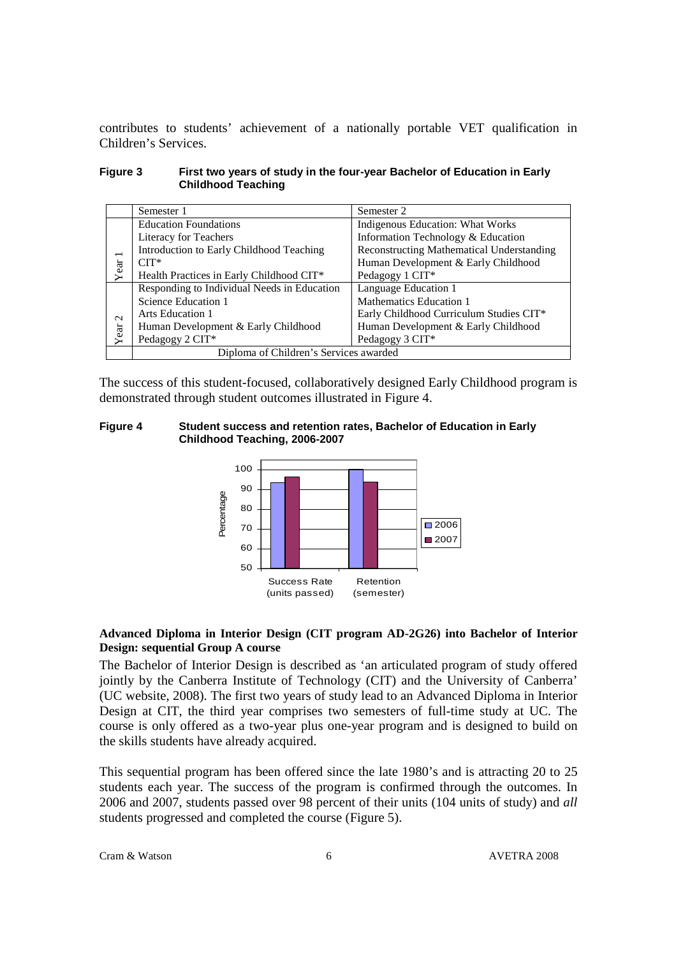contributes to students' achievement of a nationally portable VET qualification in Children's Services.

| Figure 3 | First two years of study in the four-year Bachelor of Education in Early |
|----------|--------------------------------------------------------------------------|
|          | <b>Childhood Teaching</b>                                                |

|                          | Semester 1                                  | Semester 2                                       |  |  |
|--------------------------|---------------------------------------------|--------------------------------------------------|--|--|
|                          | <b>Education Foundations</b>                | Indigenous Education: What Works                 |  |  |
|                          | Literacy for Teachers                       | Information Technology & Education               |  |  |
| $\overline{\phantom{0}}$ | Introduction to Early Childhood Teaching    | <b>Reconstructing Mathematical Understanding</b> |  |  |
|                          | $CIT^*$                                     | Human Development & Early Childhood              |  |  |
| Year                     | Health Practices in Early Childhood CIT*    | Pedagogy 1 CIT*                                  |  |  |
|                          | Responding to Individual Needs in Education | Language Education 1                             |  |  |
|                          | Science Education 1                         | Mathematics Education 1                          |  |  |
| $\sim$                   | Arts Education 1                            | Early Childhood Curriculum Studies CIT*          |  |  |
|                          | Human Development & Early Childhood         | Human Development & Early Childhood              |  |  |
| Year                     | Pedagogy 2 CIT*                             | Pedagogy 3 CIT*                                  |  |  |
|                          | Diploma of Children's Services awarded      |                                                  |  |  |

The success of this student-focused, collaboratively designed Early Childhood program is demonstrated through student outcomes illustrated in Figure 4.

**Figure 4 Student success and retention rates, Bachelor of Education in Early Childhood Teaching, 2006-2007** 



### **Advanced Diploma in Interior Design (CIT program AD-2G26) into Bachelor of Interior Design: sequential Group A course**

The Bachelor of Interior Design is described as 'an articulated program of study offered jointly by the Canberra Institute of Technology (CIT) and the University of Canberra' (UC website, 2008). The first two years of study lead to an Advanced Diploma in Interior Design at CIT, the third year comprises two semesters of full-time study at UC. The course is only offered as a two-year plus one-year program and is designed to build on the skills students have already acquired.

This sequential program has been offered since the late 1980's and is attracting 20 to 25 students each year. The success of the program is confirmed through the outcomes. In 2006 and 2007, students passed over 98 percent of their units (104 units of study) and *all* students progressed and completed the course (Figure 5).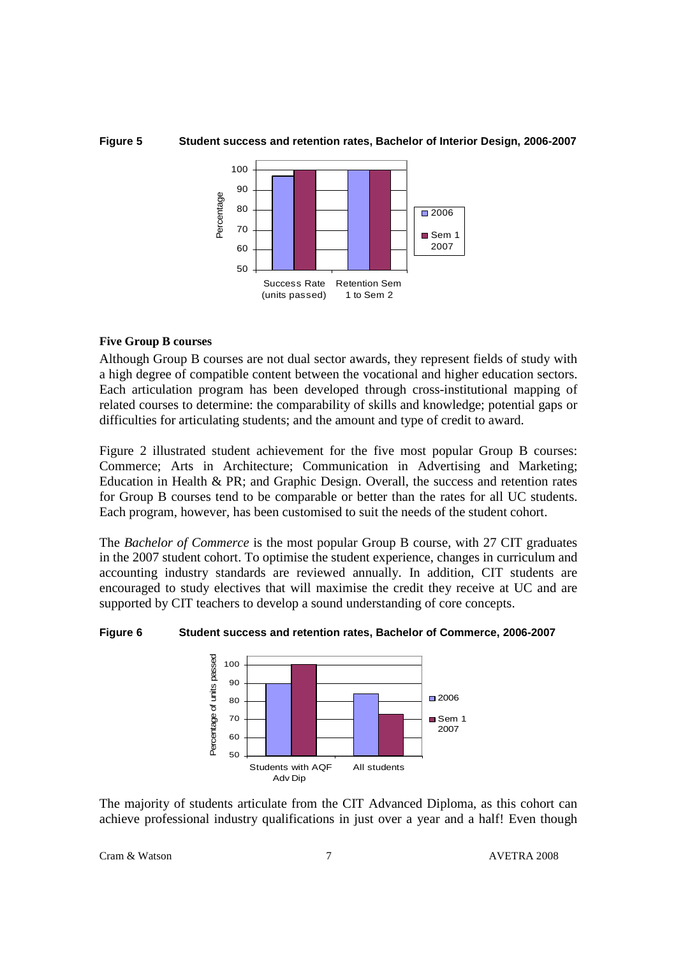

Success Rate (units passed)

#### **Figure 5 Student success and retention rates, Bachelor of Interior Design, 2006-2007**

Retention Sem 1 to Sem 2

# **Five Group B courses**

Although Group B courses are not dual sector awards, they represent fields of study with a high degree of compatible content between the vocational and higher education sectors. Each articulation program has been developed through cross-institutional mapping of related courses to determine: the comparability of skills and knowledge; potential gaps or difficulties for articulating students; and the amount and type of credit to award.

Figure 2 illustrated student achievement for the five most popular Group B courses: Commerce; Arts in Architecture; Communication in Advertising and Marketing; Education in Health & PR; and Graphic Design. Overall, the success and retention rates for Group B courses tend to be comparable or better than the rates for all UC students. Each program, however, has been customised to suit the needs of the student cohort.

The *Bachelor of Commerce* is the most popular Group B course, with 27 CIT graduates in the 2007 student cohort. To optimise the student experience, changes in curriculum and accounting industry standards are reviewed annually. In addition, CIT students are encouraged to study electives that will maximise the credit they receive at UC and are supported by CIT teachers to develop a sound understanding of core concepts.

#### **Figure 6 Student success and retention rates, Bachelor of Commerce, 2006-2007**



The majority of students articulate from the CIT Advanced Diploma, as this cohort can achieve professional industry qualifications in just over a year and a half! Even though

Cram & Watson 7 AVETRA 2008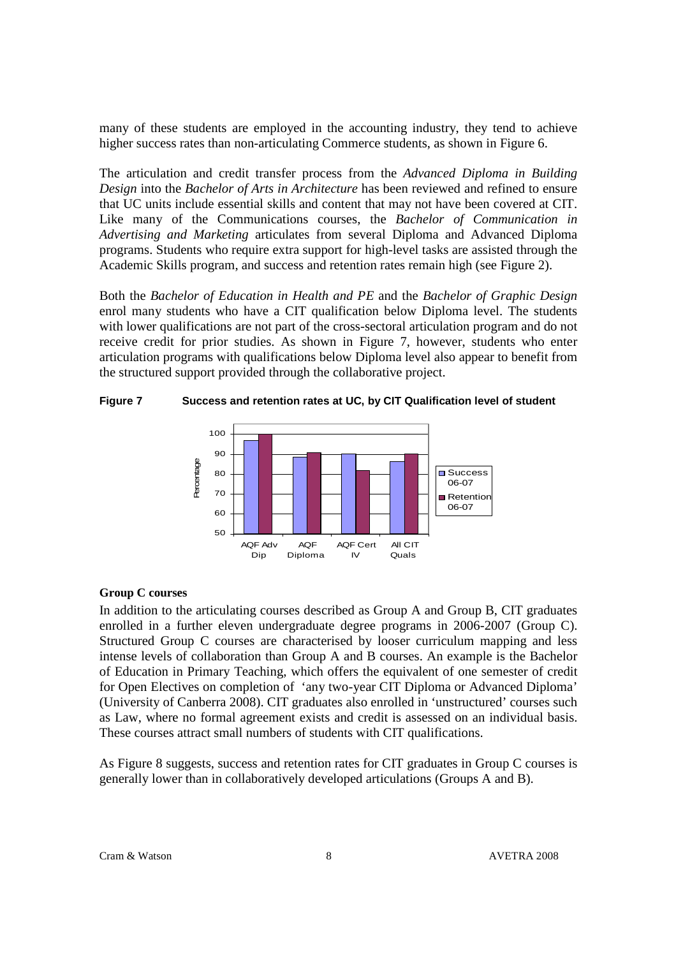many of these students are employed in the accounting industry, they tend to achieve higher success rates than non-articulating Commerce students, as shown in Figure 6.

The articulation and credit transfer process from the *Advanced Diploma in Building Design* into the *Bachelor of Arts in Architecture* has been reviewed and refined to ensure that UC units include essential skills and content that may not have been covered at CIT. Like many of the Communications courses, the *Bachelor of Communication in Advertising and Marketing* articulates from several Diploma and Advanced Diploma programs. Students who require extra support for high-level tasks are assisted through the Academic Skills program, and success and retention rates remain high (see Figure 2).

Both the *Bachelor of Education in Health and PE* and the *Bachelor of Graphic Design* enrol many students who have a CIT qualification below Diploma level. The students with lower qualifications are not part of the cross-sectoral articulation program and do not receive credit for prior studies. As shown in Figure 7, however, students who enter articulation programs with qualifications below Diploma level also appear to benefit from the structured support provided through the collaborative project.

**Figure 7 Success and retention rates at UC, by CIT Qualification level of student** 



#### **Group C courses**

In addition to the articulating courses described as Group A and Group B, CIT graduates enrolled in a further eleven undergraduate degree programs in 2006-2007 (Group C). Structured Group C courses are characterised by looser curriculum mapping and less intense levels of collaboration than Group A and B courses. An example is the Bachelor of Education in Primary Teaching, which offers the equivalent of one semester of credit for Open Electives on completion of 'any two-year CIT Diploma or Advanced Diploma' (University of Canberra 2008). CIT graduates also enrolled in 'unstructured' courses such as Law, where no formal agreement exists and credit is assessed on an individual basis. These courses attract small numbers of students with CIT qualifications.

As Figure 8 suggests, success and retention rates for CIT graduates in Group C courses is generally lower than in collaboratively developed articulations (Groups A and B).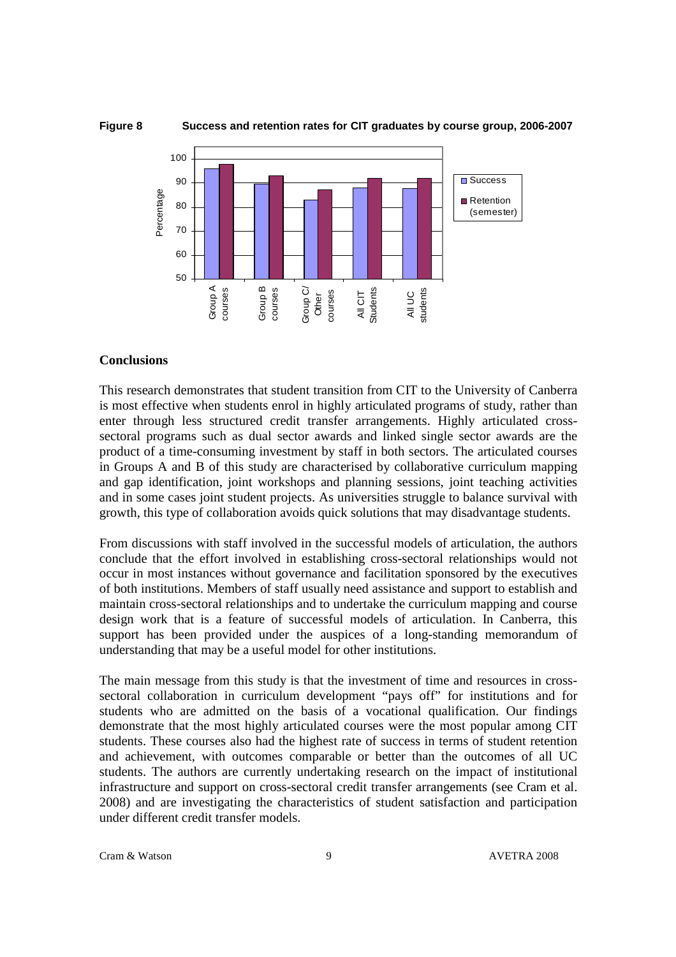

# **Conclusions**

This research demonstrates that student transition from CIT to the University of Canberra is most effective when students enrol in highly articulated programs of study, rather than enter through less structured credit transfer arrangements. Highly articulated crosssectoral programs such as dual sector awards and linked single sector awards are the product of a time-consuming investment by staff in both sectors. The articulated courses in Groups A and B of this study are characterised by collaborative curriculum mapping and gap identification, joint workshops and planning sessions, joint teaching activities and in some cases joint student projects. As universities struggle to balance survival with growth, this type of collaboration avoids quick solutions that may disadvantage students.

From discussions with staff involved in the successful models of articulation, the authors conclude that the effort involved in establishing cross-sectoral relationships would not occur in most instances without governance and facilitation sponsored by the executives of both institutions. Members of staff usually need assistance and support to establish and maintain cross-sectoral relationships and to undertake the curriculum mapping and course design work that is a feature of successful models of articulation. In Canberra, this support has been provided under the auspices of a long-standing memorandum of understanding that may be a useful model for other institutions.

The main message from this study is that the investment of time and resources in crosssectoral collaboration in curriculum development "pays off" for institutions and for students who are admitted on the basis of a vocational qualification. Our findings demonstrate that the most highly articulated courses were the most popular among CIT students. These courses also had the highest rate of success in terms of student retention and achievement, with outcomes comparable or better than the outcomes of all UC students. The authors are currently undertaking research on the impact of institutional infrastructure and support on cross-sectoral credit transfer arrangements (see Cram et al. 2008) and are investigating the characteristics of student satisfaction and participation under different credit transfer models.

Cram & Watson 2008